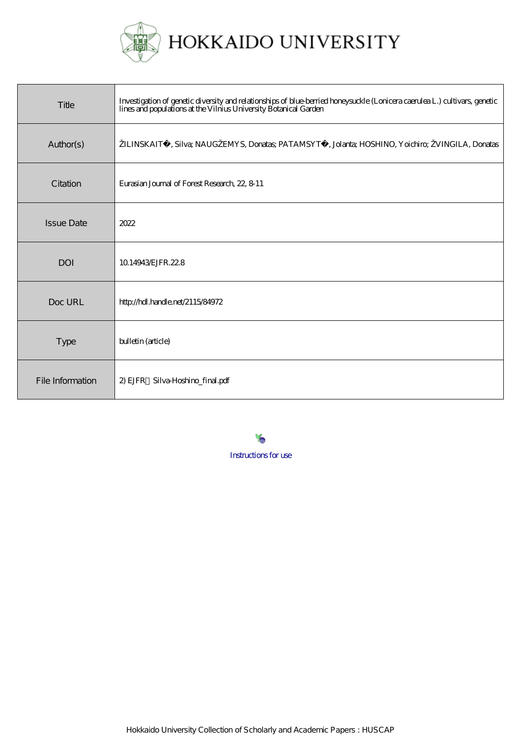

| Title             | Investigation of genetic diversity and relationships of blue-benied honeysuckle (Lonicera caerulea L.) cultivars, genetic<br>lines and populations at the Vilnius University Botanical Garden |
|-------------------|-----------------------------------------------------------------------------------------------------------------------------------------------------------------------------------------------|
| Author(s)         | ŽILINSKAIT, Silva; NAUGŽEMYS, Donatas; PATAMSYT, Jolanta; HOSHINO, Yoichiro; ŽVINGILA, Donatas                                                                                                |
| Citation          | Eurasian Journal of Forest Research, 22, 811                                                                                                                                                  |
| <b>Issue Date</b> | 2022                                                                                                                                                                                          |
| <b>DOI</b>        | 10.14943 EJFR. 22.8                                                                                                                                                                           |
| Doc URL           | http://hdl.handle.net/2115/84972                                                                                                                                                              |
| <b>Type</b>       | bulletin (article)                                                                                                                                                                            |
| File Information  | 2) EJFR Silva-Hoshino_final.pdf                                                                                                                                                               |

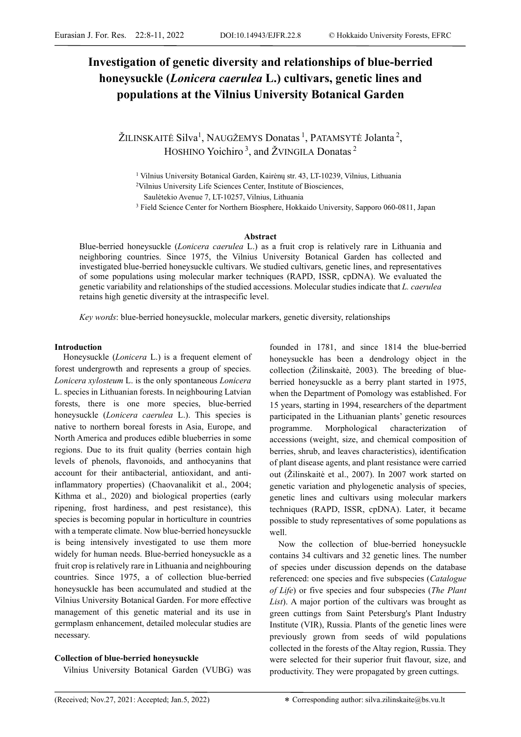# Investigation of genetic diversity and relationships of blue-berried honeysuckle *(Lonicera caerulea L.)* cultivars, genetic lines and populations at the Vilnius University Botanical Garden

ŽILINSKAITĖ Silva<sup>1</sup>, NAUGŽEMYS Donatas <sup>1</sup>, PATAMSYTĖ Jolanta<sup>2</sup>, HOSHINO Yoichiro<sup>3</sup>, and ŽVINGILA Donatas<sup>2</sup>

<sup>1</sup> Vilnius University Botanical Garden, Kairėnų str. 43, LT-10239, Vilnius, Lithuania

<sup>2</sup>Vilnius University Life Sciences Center, Institute of Biosciences,

Saulėtekio Avenue 7, LT-10257, Vilnius, Lithuania

<sup>3</sup> Field Science Center for Northern Biosphere, Hokkaido University, Sapporo 060-0811, Japan

#### Abstract

Blue-berried honeysuckle (Lonicera caerulea L.) as a fruit crop is relatively rare in Lithuania and neighboring countries. Since 1975, the Vilnius University Botanical Garden has collected and investigated blue-berried honeysuckle cultivars. We studied cultivars, genetic lines, and representatives of some populations using molecular marker techniques (RAPD, ISSR, cpDNA). We evaluated the genetic variability and relationships of the studied accessions. Molecular studies indicate that L. caerulea retains high genetic diversity at the intraspecific level.

Key words: blue-berried honeysuckle, molecular markers, genetic diversity, relationships

## Introduction

Honeysuckle (Lonicera L.) is a frequent element of forest undergrowth and represents a group of species. Lonicera xylosteum L. is the only spontaneous Lonicera L. species in Lithuanian forests. In neighbouring Latvian forests, there is one more species, blue-berried honeysuckle (Lonicera caerulea L.). This species is native to northern boreal forests in Asia, Europe, and North America and produces edible blueberries in some regions. Due to its fruit quality (berries contain high levels of phenols, flavonoids, and anthocyanins that account for their antibacterial, antioxidant, and antiinflammatory properties) (Chaovanalikit et al., 2004; Kithma et al., 2020) and biological properties (early ripening, frost hardiness, and pest resistance), this species is becoming popular in horticulture in countries with a temperate climate. Now blue-berried honeysuckle is being intensively investigated to use them more widely for human needs. Blue-berried honeysuckle as a fruit crop is relatively rare in Lithuania and neighbouring countries. Since 1975, a of collection blue-berried honeysuckle has been accumulated and studied at the Vilnius University Botanical Garden. For more effective management of this genetic material and its use in germplasm enhancement, detailed molecular studies are necessary.

# Collection of blue-berried honeysuckle

Vilnius University Botanical Garden (VUBG) was

founded in 1781, and since 1814 the blue-berried honeysuckle has been a dendrology object in the collection (Žilinskaitė, 2003). The breeding of blueberried honeysuckle as a berry plant started in 1975, when the Department of Pomology was established. For 15 years, starting in 1994, researchers of the department participated in the Lithuanian plants' genetic resources programme. Morphological characterization of accessions (weight, size, and chemical composition of berries, shrub, and leaves characteristics), identification of plant disease agents, and plant resistance were carried out (Žilinskaitė et al., 2007). In 2007 work started on genetic variation and phylogenetic analysis of species, genetic lines and cultivars using molecular markers techniques (RAPD, ISSR, cpDNA). Later, it became possible to study representatives of some populations as well.

Now the collection of blue-berried honeysuckle contains 34 cultivars and 32 genetic lines. The number of species under discussion depends on the database referenced: one species and five subspecies (Catalogue of Life) or five species and four subspecies (The Plant List). A major portion of the cultivars was brought as green cuttings from Saint Petersburg's Plant Industry Institute (VIR), Russia. Plants of the genetic lines were previously grown from seeds of wild populations collected in the forests of the Altay region, Russia. They were selected for their superior fruit flavour, size, and productivity. They were propagated by green cuttings.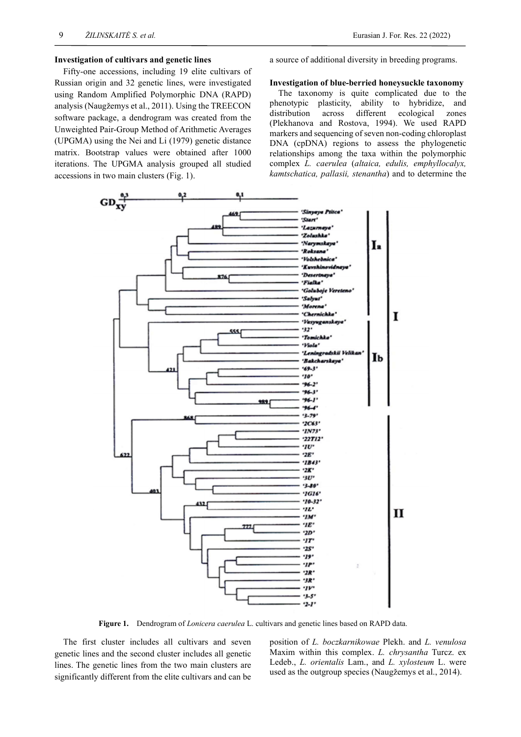#### Investigation of cultivars and genetic lines

Fifty-one accessions, including 19 elite cultivars of Russian origin and 32 genetic lines, were investigated using Random Amplified Polymorphic DNA (RAPD) analysis (Naugžemys et al., 2011). Using the TREECON software package, a dendrogram was created from the Unweighted Pair-Group Method of Arithmetic Averages (UPGMA) using the Nei and Li (1979) genetic distance matrix. Bootstrap values were obtained after 1000 iterations. The UPGMA analysis grouped all studied accessions in two main clusters (Fig. 1).

a source of additional diversity in breeding programs.

## Investigation of blue-berried honeysuckle taxonomy

The taxonomy is quite complicated due to the phenotypic plasticity, ability to hybridize, and distribution across different ecological zones (Plekhanova and Rostova, 1994). We used RAPD markers and sequencing of seven non-coding chloroplast DNA (cpDNA) regions to assess the phylogenetic relationships among the taxa within the polymorphic complex L. caerulea (altaica, edulis, emphyllocalyx, kamtschatica, pallasii, stenantha) and to determine the



Figure 1. Dendrogram of *Lonicera caerulea* L. cultivars and genetic lines based on RAPD data.

The first cluster includes all cultivars and seven genetic lines and the second cluster includes all genetic lines. The genetic lines from the two main clusters are significantly different from the elite cultivars and can be position of L. boczkarnikowae Plekh. and L. venulosa Maxim within this complex. L. chrysantha Turcz. ex Ledeb., L. orientalis Lam., and L. xylosteum L. were used as the outgroup species (Naugžemys et al., 2014).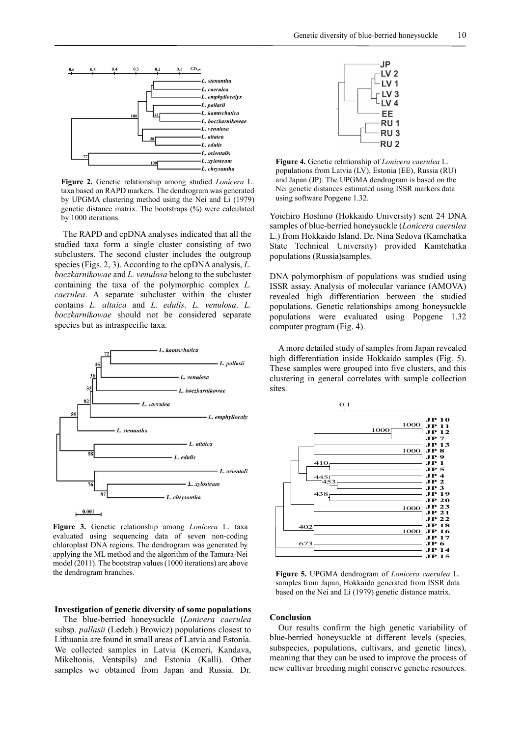

Figure 2. Genetic relationship among studied Lonicera L. taxa based on RAPD markers. The dendrogram was generated by UPGMA clustering method using the Nei and Li (1979) genetic distance matrix. The bootstraps (%) were calculated by 1000 iterations.

The RAPD and cpDNA analyses indicated that all the studied taxa form a single cluster consisting of two subclusters. The second cluster includes the outgroup species (Figs. 2, 3). According to the cpDNA analysis, L. boczkarnikowae and L. venulosa belong to the subcluster containing the taxa of the polymorphic complex L. caerulea. A separate subcluster within the cluster contains L. altaica and L. edulis. L. venulosa. L. boczkarnikowae should not be considered separate species but as intraspecific taxa.



Figure 3. Genetic relationship among Lonicera L. taxa evaluated using sequencing data of seven non-coding chloroplast DNA regions. The dendrogram was generated by applying the ML method and the algorithm of the Tamura-Nei model (2011). The bootstrap values (1000 iterations) are above the dendrogram branches.

#### Investigation of genetic diversity of some populations

The blue-berried honeysuckle (Lonicera caerulea subsp. pallasii (Ledeb.) Browicz) populations closest to Lithuania are found in small areas of Latvia and Estonia. We collected samples in Latvia (Kemeri, Kandava, Mikeltonis, Ventspils) and Estonia (Kalli). Other samples we obtained from Japan and Russia. Dr.



Figure 4. Genetic relationship of Lonicera caerulea L. populations from Latvia (LV), Estonia (EE), Russia (RU) and Japan (JP). The UPGMA dendrogram is based on the Nei genetic distances estimated using ISSR markers data using software Popgene 1.32.

Yoichiro Hoshino (Hokkaido University) sent 24 DNA samples of blue-berried honeysuckle (Lonicera caerulea L.) from Hokkaido Island. Dr. Nina Sedova (Kamchatka State Technical University) provided Kamtchatka populations (Russia)samples.

DNA polymorphism of populations was studied using ISSR assay. Analysis of molecular variance (AMOVA) revealed high differentiation between the studied populations. Genetic relationships among honeysuckle populations were evaluated using Popgene 1.32 computer program (Fig. 4).

A more detailed study of samples from Japan revealed high differentiation inside Hokkaido samples (Fig. 5). These samples were grouped into five clusters, and this clustering in general correlates with sample collection sites.



Figure 5. UPGMA dendrogram of Lonicera caerulea L. samples from Japan, Hokkaido generated from ISSR data **based on the Nei and Li (1979)**<br>Figure 5. UPGMA dendrogram of *Lonicera caerulea* L.<br>samples from Japan, Hokkaido generated from ISSR data<br>based on the Nei and Li (1979) genetic distance matrix.

#### Conclusion

Our results confirm the high genetic variability of blue-berried honeysuckle at different levels (species, subspecies, populations, cultivars, and genetic lines), meaning that they can be used to improve the process of new cultivar breeding might conserve genetic resources.